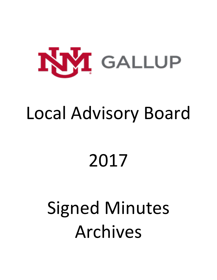

## Local Advisory Board

# 2017

# Signed Minutes Archives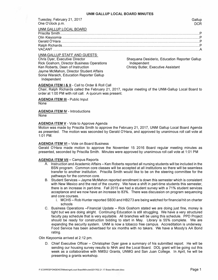Tuesday, February 21, 2017 Gallup one O'clock p.m. Decree that the contract of the contract of the contract of the contract of the contract of the contract of the contract of the contract of the contract of the contract of the contract of the contract of t

UNM-GALLUP STAFF AND GUESTS: Chris Dyer, Executive Director Rick Goshorn, Director Business Operations Ken Roberts, Dean of Instruction Jayme McMahon, Director Student Affairs Sonia Waraich, Education Reporter Gallup Independent

Shaquana Desiderio, Education Reporter Gallup Independent Christy Butler, Executive Assistant

#### **AGENDA ITEM** I & II - Call to Order & Roll Call

Chair, Ralph Richards called the February 21, 2017, regular meeting of the UNM-Gallup Local Board to order at 1:00 PM with roll call. A quorum was present.

**AGENDA ITEM III - Public Input** None

**AGENDA ITEM IV** - Introductions None

#### **AGENDA ITEM V - Vote to Approve Agenda**

Motion was made by Priscilla Smith to approve the February 21, 2017, UNM Gallup Local Board Agenda as presented. The motion was seconded by Gerald O'Hara, and approved by unanimous roll call vote at 1:01 PM.

#### **AGENDA ITEM VI - Vote on Board Business**

Gerald O'Hara made motion to approve the November 15 2016 Board regular meeting minutes as presented, seconded by Priscilla Smith. Minutes were approved by unanimous roll call vote at 1 :01 PM

#### **AGENDA ITEM VII - Campus Reports**

- A. Instruction and Academic Affairs Ken Roberts reported all nursing students will be included in the BSN program. Common core classes will be accepted at all institutions so there will be seamless transfer to another institution. Priscilla Smith would like to be on the steering committee for the pathways for the common core.
- B. Student Services Jayme McMahon reported enrollment is down this semester which is consistent with New Mexico and the rest of the country. We have a shift in part-time students this semester, there is an increase in part-time. Fall 2015 we had a student survey with a 71% student services acceptance and we now have an increase to 83%. There was discussion on program sequencing and core courses.
	- i. MCHS Rob Hunter reported SB30 and HB273 are being watched for financial hit on charter schools
- C. Business Operations -Financial Update Rick Goshorn stated we are doing just fine, money is tight but we are doing alright. Continuing Education is still struggling. We have a very structured faculty pay schedule that is very equitable. All branches will be using this schedule. PPD Project should be ready for construction bidding to start in May. Library is 55% complete. We are expanding the security system. UNM is now a tobacco free campus. Accreditation is underway. Food Service has been advertised for six months with no takers. We have a Moody's AA Bond rating.

#### Olin Kieyoomia arrived at 2: 12 pm.

D. Chief Executive Officer - Christopher Dyer gave a summary of his submitted report. He will be sending our housing survey results to NHA and the Local Board. DOL grant will be going out this week as a collaborative with NMSU Grants, UNMG and San Juan College. In April, he will be presenting a grants workshop.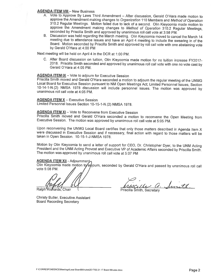#### **AGENDA ITEM VIII - New Business**

- A. Vote to Approve By Laws Third Amendment After discussion, Gerald O'Hara made motion to approve the Amendment making changes to Organization 110 Members and Method of Operation 310.2 Regular Meetings. Motion failed due to lack of a second. Olin Kieyoomia made motion to approve the Amendment making changes to Method of Operation 310.2 Regular Meetings. seconded by Priscilla Smith and approved by unanimous roll call vote at 3:58 PM.
- B. Discussion was held regarding the March meeting. Olin Kieyoomia moved to cancel the March 14 meeting due to attendance issues and have an April 4 meeting to include the swearing in of the Board. Motion seconded by Priscilla Smith and approved by roll call vote with one abstaining vote by Gerald O'Hara at 4:00 PM

Next meeting will be held on April 4 in the DCR at 1:00 PM.

C. After Board discussion on tuition, Olin Kieyoomia made motion for no tuition increase FY2017-2018. Priscilla Smith seconded and approved by unanimous roll call vote with one no vote cast by Gerald O'Hara at 4:05 PM.

#### **AGENDA ITEM IX** - Vote to adjourn for Executive Session

Priscilla Smith moved and Gerald O'Hara seconded a motion to adjourn the regular meeting of the UNMG Local Board for Executive Session pursuant to NM Open Meetings Act; Limited Personnel Issues, Section 10-14-1-N.(2) NMSA 1978 discussion will include personnel issues. The motion was approved by unanimous roll call vote at 4:05 PM.

#### **AGENDA ITEM X - Executive Session**

Limited Personnel Issues Section 10-15-1-N.(2) NMSA 1978.

#### **AGENDA ITEM XI** - Vote to Reconvene from Executive Session

Priscilla Smith moved and Gerald O'Hara seconded a motion to reconvene the Open Meeting from Executive Session. The motion was approved by unanimous roll call vote at 5:05 PM.

Upon reconvening the UNMG Local Board certifies that only those matters described in Agenda Item X were discussed in Executive Session and if necessary, final action with regard to those matters will be taken in Open Session. 10-15-1-J-NMSA 1978.

Motion by Olin Kieyoomia to send a letter of support for CEO, Dr. Christopher Dyer, to the UNM Acting President and the UNM Acting Provost and Executive VP of Academic Affairs seconded by Priscilla Smith. The motion was approved by unanimous roll call vote at 5:07 PM

#### AGENDA ITEM XII - Adjournment

Olin Kieyoomia made motion to adjourn, seconded by Gerald O'Hara and passed by unanimous roll call vote 5:08 PM.

Ralph'Richards, Chair

de a. Smith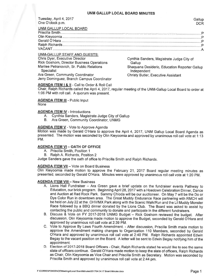Tuesday, April 4, 2017 One O'clock p.m.

### UNM GALLUP LOCAL BOARD

#### **UNM-GALLUP STAFF AND GUESTS:**

Chris Dyer, Executive Director Rick Goshorn, Director Business Operations Marilee Petranovich, Sr. Public Relations **Specialist** Ara Green, Community Coordinator Jerry Dominguez, Branch Campus Coordinator

Cynthia Sanders, Magistrate Judge City of Gallup Shaquana Desiderio, Education Reporter Gallup Independent **Christy Butler, Executive Assistant** 

#### **AGENDA ITEM I & II - Call to Order & Roll Call**

Chair, Ralph Richards called the April 4, 2017, regular meeting of the UNM-Gallup Local Board to order at 1:06 PM with roll call. A quorum was present.

#### **AGENDA ITEM III - Public Input**

None

#### **AGENDA ITEM IV - Introductions**

- A. Cynthia Sanders, Magistrate Judge City of Gallup
- B. Ara Green, Community Coordinator, UNMG

#### **AGENDA ITEM V** - Vote to Approve Agenda

Motion was made by Gerald O'Hara to approve the April 4, 2017, UNM Gallup Local Board Agenda as presented. The motion was seconded by Olin Kieyoomia and approved by unanimous roll call vote at 1:13 PM.

#### **AGENDA ITEM VI - OATH OF OFFICE**

- A. Priscilla Smith, Position 1
- B. Ralph A. Richards, Position 2

Judge Sanders gave the oath of office to Priscilla Smith and Ralph Richards.

#### **AGENDA ITEM VII - Vote on Board Business**

Olin Kieyoomia made motion to approve the February 21, 2017 Board regular meeting minutes as presented, seconded by Gerald O'Hara. Minutes were approved by unanimous roll call vote at 1:20 PM.

#### **AGENDA ITEM VIII - New Business**

- A. Lions Hall Fundraiser Ara Green gave a brief update on the fundraiser events Pathway to Education, our brick program. Beginning April 28, 2017 with a Hoedown Celebration Dinner, Dance and Auction at Red Rock Park. Sammy Chioda will be our auctioneer. On May 7 will be the Do or Dye Color Run in downtown area. The Great Muddy Endurance Race partnering with RMCH will be held on July 22 at the .OHV/MX Park along with the Scenic Walk/Run and the Lil Muddy Monster Race followed by a BBQ dinner donated by the Lions Club. The Board was asked to assist by contacting the public and community to donate and participate in the different fundraisers.
- B. Discuss & Vote on FY 2017-2018 UNMG Budget Rick Goshorn reviewed the budget. After discussion, Olin Kieyoomia made motion to approve the Budget, seconded by Gerald O'Hara and approved by unanimous roll call vote at 2:39 PM.
- C. Vote to Approve By Laws Fourth Amendment. After discussion, Priscilla Smith made motion to approve the Amendment making changes to Organization 110 Members, seconded by Gerald O'Hara and approved by unanimous roll call vote at 2:40 PM. Ralph Richards appointed Edwin Begay to the vacant position on the Board. A letter will be sent to Edwin Begay notifying him of the appointment.
- D. Election of 2017-2018 Board Officers Chair, Ralph Richards stated he would like to see the same slate of officers continue. Gerald O'Hara made motion to keep the slate of officers, Ralph Richards as Chair, Olin Kieyoomia as Vice Chair and Priscilla Smith as Secretary. Motion was seconded by Priscilla Smith and approved by unanimous roll call vote at 2:44 pm.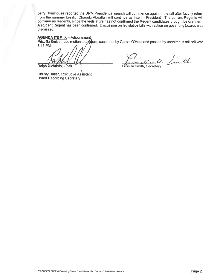Jerry Dominguez reported the UNM Presidential search will commence again in the fall after faculty return from the summer break. Chaouki Abdallah will continue as Interim President. The current Regents will continue as Regents, since the legislature has not confirmed the Regent candidates brought before them. A student Regent has been confirmed. Discussion on legislative bills with action on governing boards was discussed.

#### **AGENDA ITEM IX - Adjournment**

Priscilla Smith made motion to adjourn, seconded by Gerald O'Hara and passed by unanimous roll call vote 3:15 PM.

Ralph Richards, Chair

Smith

Priscilla Smith, Secretary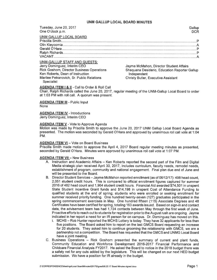| Tuesday, June 20, 2017              | Gallup                                  |
|-------------------------------------|-----------------------------------------|
| One O'clock p.m.                    | <b>DCR</b>                              |
| UNM GALLUP LOCAL BOARD              |                                         |
|                                     |                                         |
|                                     |                                         |
|                                     |                                         |
|                                     |                                         |
|                                     |                                         |
| <b>UNM-GALLUP STAFF AND GUESTS:</b> |                                         |
| Jerry Dominguez, Interim CEO        | Jayme McMahon, Director Student Affairs |

**Rick Goshorn, Director Business Operations** Ken Roberts, Dean of Instruction Marilee Petranovich, Sr. Public Relations **Specialist** 

layme McManon, Director Student Aπairs Shaquana Desiderio, Education Reporter Gallup Independent **Christy Butler, Executive Assistant** 

AGENDA ITEM I & II - Call to Order & Roll Call

Chair, Ralph Richards called the June 20, 2017, regular meeting of the UNM-Gallup Local Board to order at 1:03 PM with roll call. A quorum was present.

**AGENDA ITEM III** - Public Input **None** 

**AGENDA ITEM IV - Introductions** Jerry Dominguez, Interim CEO

#### **AGENDA ITEM V - Vote to Approve Agenda**

Motion was made by Priscilla Smith to approve the June 20, 2017 UNM Gallup Local Board Agenda as presented. The motion was seconded by Gerald O'Hara and approved by unanimous roll call vote at 1:04 PM.

#### **AGENDA ITEM VI - Vote on Board Business**

Priscilla Smith made motion to approve the April 4, 2017 Board regular meeting minutes as presented. seconded by Gerald O'Hara. Minutes were approved by unanimous roll call vote at 1:07 PM.

#### **AGENDA ITEM VII - New Business**

- A. Instruction and Academic Affairs Ken Roberts reported the second part of the Film and Digital Media strategic plan received April 30, 2017, includes curriculum, faculty needs, remodel needs, establishment of program, community and national engagement. Final plan due end of June and will be presented to the Board.
- B. Director Student Services Jayme McMahon reported enrollment (as of 06/12/17): 498 head count. 2,051 student credit hours. This is compared to official enrollment figures captured for summer 2016 of 482 head count and 1,964 student credit hours. Financial Aid awarded \$74,501 in unspent State Student Incentive Grant funds and \$14,198 in unspent Cost of Attendance Funding to qualified students at the end of spring; students who were enrolled or seeking enrollment for summer received priority funding. One hundred twenty-seven (127) graduates participated in the spring commencement exercises in May. One hundred fifteen (115) Associate Degrees and 48 Certificates have been certified for spring, totaling 163 awards issued. Based on sign-in and contact data, the advisement team has had 1,724 contacts between May through the first week of June. Proactive efforts to reach out to students for registration prior to the August rush are ongoing. Jayme indicated in her report a need for an IR person for on campus. Dr. Dominguez has moved on this.
	- i. MCHS Rob Hunter reported the MCHS Lottery is today. They have 32 applicants for less than five positions. The Board asked him to report on the last GMCS Board requesting an increase for 20 students. They asked him to continue grooming the relationship with GMCS, we are a partnership not a competition. The Board has requested that the GMCS and UNMG Local Board have a joint meeting.
- C. Business Operations Rick Goshorn presented the summary of current and plant funds, Community Education and Workforce Development 2016-2017 Financial Performance and Childcare Financial Analysis FY2017. He asked the Board to notice in the 2018 budget there was a safety net for any cuts added by the legislature. This will be changed on our next HED budget submission. We have a position for IR already in the budget.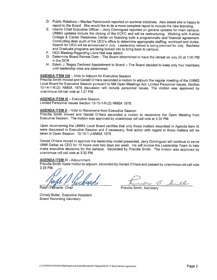- D. Public Relations Marilee Petranovich reported on summer initiatives. Also stated she is happy to report to the Board. She would like to do a more complete report to include the new branding.
- E. Interim Chief Executive Officer Jerry Dominguez reported on general updates for main campus. UNMG updates include the closing of the ECFC and will be restructuring. Working with A:shiwi College & Career Readiness Center on finalizing both a programmatic and financial agreement. Conducting desk audit of the CEO's office to determine appropriate staffing, workload and duties. Search for CEO will be announced in July. Leadership retreat is being planned for July. Bachelor and Graduate programs are being looked into to bring back to campus.
- F. HED Meeting Regarding Lions Hall was tabled.
- G. Determine Board Retreat Date The Board determined to have the retreat on July 25 at 1:00 PM in the DCR.
- H. Edwin J. Begay Declined Appointment to Board The Board decided to keep only four members until leadership roles are determined.

#### **AGENDA ITEM VIII** - Vote to Adjourn for Executive Session

Priscilla Smith moved and Gerald O'Hara seconded a motion to adjourn the regular meeting of the UNMG Local Board for Executive Session pursuant to NM Open Meetings Act; Limited Personnel Issues, Section 10-14-1-N.(2) NMSA 1978 discussion will include personnel issues. The motion was approved by unanimous roll call vote at 1:27 PM.

#### **AGENDA ITEM IX - Executive Session**

Limited Personnel Issues Section 10-15-1-N.(2) NMSA 1978.

#### **AGENDA ITEM X** - Vote to Reconvene from Executive Session

Priscilla Smith moved and Gerald O'Hara seconded a motion to reconvene the Open Meeting from Executive Session. The motion was approved by unanimous roll call vote at 3:30 PM.

Upon reconvening the UNMG Local Board certifies that only those matters described in Agenda Item IX were discussed in Executive Session and if necessary, final action with regard to those matters will be taken in Open Session. 10-15-1-J-NMSA 1978.

Gerald O'Hara moved to approve the leadership model presented, Jerry Dominguez will continue to serve UNM Gallup as CEO for 10 hours over two days per week. He will involve the Leadership Team to help make executive decisions for the campus. Seconded by Priscilla Smith. The motion was approved by unanimous roll call vote at 3:32 PM.

#### **AGENDA ITEM XI - Adjournment**

Priscilla Smith made motion to adjourn, seconded by Gerald O'Hara and passed by unanimous roll call vote 3:35 PM.

Ralph Richards,

cella a. Imith

Priscilla Smith, Secretary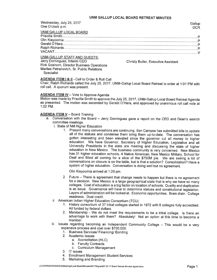#### UNM GALLUP LOCAL BOARD RETREAT MINUTES

| Wednesday, July 25, 2017<br>One O'clock p.m.                                | Gallup<br><b>DCR</b> |
|-----------------------------------------------------------------------------|----------------------|
| UNM GALLUP LOCAL BOARD                                                      |                      |
|                                                                             |                      |
|                                                                             |                      |
|                                                                             |                      |
|                                                                             |                      |
|                                                                             |                      |
| <b>UNM-GALLUP STAFF AND GUESTS:</b><br>Joseph Davels Alliance Historics OFO |                      |

Jerry Dominguez, Interim CEO Rick Goshorn, Director Business Operations Marilee Petranovich, Sr. Public Relations **Specialist** 

**Christy Butler, Executive Assistant** 

AGENDA ITEM 1 & II - Call to Order & Roll Call

Chair, Ralph Richards called the July 25, 2017, UNM-Gallup Local Board Retreat to order at 1:01 PM with roll call. A quorum was present.

#### **AGENDA ITEM IV - Vote to Approve Agenda**

Motion was made by Priscilla Smith to approve the July 25, 2017, UNM-Gallup Local Board Retreat Agenda as presented. The motion was seconded by Gerald O'Hara, and approved by unanimous roll call vote at 1:02 PM.

#### **AGENDA ITEM V - Board Training**

- a. Conversation with the Board Jerry Dominguez gave a report on the CEO and Dean's search committee meetings.
	- i. State of NM Higher Education
		- 1. Present many conversations are continuing. Sen Campos has submitted bills to update all of the statues and condense them bring them up-to-date. The conversation has gotten interesting and been elevated since the governor cut all money to higher education. We have Governor, Secretary of Higher Education, Legislative and all University Presidents in the state are meeting and discussing the state of higher education in New Mexico. The business community is very concerned. New Mexico has 31 higher education schools, 4 Native American, New Mexico Military, School for Deaf and Blind all coming for a slice of the \$750M pie. We are seeing a lot of conversations on closure is on the table, but is that a solution? Consolidation? Have a system of higher education. Conversation is doing well but no agreement.

Olin Kieyoomia arrived at 1:29 pm.

- 2. Future There is agreement that change needs to happen but there is no agreement for a decision. New Mexico is a large geographical state that is why we have so many colleges. Cost of education is a big factor on location of schools. Quality and duplication is an issue. Governance will have to determine statues and constitutional legislation. Layers of administration will be looked at. Economic opportunities. Brain drain. College readiness. Dual credit.
- ii. American Indian Higher Education Consortium (TCU)
	- 1. History consortium of 37 tribal colleges started in 1972 with 6 colleges fully accredited. All funded by federal dollars.
	- 2. Membership We do not meet the requirements to be a tribal college. Is there an advantage to work with them? Absolutely! Not an option at this time to become a member.
- iii. Issues regarding becoming an Independent Community College This would be a very expensive process and cost over \$700,000.
	- 1. Business Services/ Financing/ Bonding
	- 2. Academic Issues
		- a. Accreditation (HLC)
		- b. Faculty Contracts
		- c. Curriculum Management
	- 3. IT issues
	- 4. Enrollment Management Student Services
	- 5. Marketing and Branding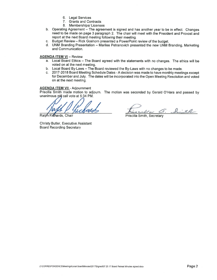- 6. Legal Services
- 7. Grants and Contracts
- 8. Memberships/Licenses
- b. Operating Agreement The agreement is signed and has another year to be in effect. Changes need to be made on page 3 paragraph 2. The chair will meet with the President and Provost and report at the next Board meeting following their meeting.
- C. Budget Review – Rick Goshorn presented a PowerPoint review of the budget.
- d. UNM Branding Presentation Marilee Petranovich presented the new UNM Branding, Marketing and Communication.

#### **AGENDA ITEM VI - Review**

- a. Local Board Ethics The Board agreed with the statements with no changes. The ethics will be voted on at the next meeting.
- b. Local Board By-Laws The Board reviewed the By-Laws with no changes to be made.
- c. 2017-2018 Board Meeting Schedule Dates A decision was made to have monthly meetings except for December and July. The dates will be incorporated into the Open Meeting Resolution and voted on at the next meeting.

#### **AGENDA ITEM VII - Adjournment**

Priscilla Smith made motion to adjourn. The motion was seconded by Gerald O'Hara and passed by unanimous roll call vote at 5:34 PM.

Ralph<sub>Ri</sub> chards, Chair

Un a. Smith **Triscilla Smith, Secretary**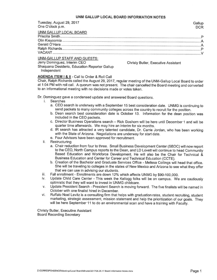#### UNM GALLUP LOCAL BOARD INFORMATION NOTES

| Tuesday, August 29, 2017<br>One O'clock p.m. | Gallup<br><b>DCR</b> |
|----------------------------------------------|----------------------|
| UNM GALLUP LOCAL BOARD                       |                      |
|                                              |                      |
|                                              |                      |
|                                              |                      |
|                                              |                      |
|                                              |                      |
| <b>UNM-GALLUP STAFF AND GUESTS:</b>          |                      |

### Jerry Dominguez, Interim CEO

Shaquana Desiderio, Education Reporter Gallup Independent

**Christy Butler, Executive Assistant** 

#### AGENDA ITEM I & II - Call to Order & Roll Call

Chair, Ralph Richards called the August 29, 2017, regular meeting of the UNM-Gallup Local Board to order at 1:04 PM with roll call. A quorum was not present. The chair cancelled the Board meeting and converted to an informational meeting with no decisions made or votes taken.

Dr. Dominguez gave a condensed update and answered Board questions.

- Searches  $\mathbf{i}$ 
	- a. CEO search is underway with a September 15 best consideration date. UNMG is continuing to send packets to many community colleges across the country to recruit for the position.
	- b. Dean search best consideration date is October 13. Information for the dean position was included in the CEO packets.
	- c. Director Business Operations search Rick Goshorn will be here until December 1 and will be quarter time afterwards. We may hire an interim for six months.
	- d. IR search has attracted a very talented candidate, Dr. Carrie Jordan, who has been working with the State of Arizona. Negotiations are underway for start date.
	- e. Four Advisors have been approved for recruitment.
- Restructuring ii.
	- a. Chair reduction from four to three. Small Business Development Center (SBDC) will now report to the CEO, North Campus reports to the Dean, and LD Lovett will continue to head Community Based Education and Workforce Development. He will also be the Chair for Technical & Business Education and Center for Career and Technical Education (CCTE).
	- b. Creation of the Bachelor and Graduate Services Office Melissa Collings will head that office. She will be traveling to colleges in the states of New Mexico and Arizona to see what they offer that we can use in advising our students.
- Fall enrollment Enrollments are down 12% which affects UNMG by \$90-100,000. iii.
- Update Child Care Center This week the Kellogg folks will be on campus. We are cautiously iv. optimistic that they will want to invest in UNMG childcare.
- Update President Search President Search is moving forward. The five finalists will be named in V. October with one finalist hired in December.
- Ruffalo Noel Levitz is a consulting firm that helps with graduation rates, student recruiting, student vi. marketing, strategic assessment, mission statement and help the prioritization of our goals. They will be here September 11 to do an environmental scan and have a training with Faculty.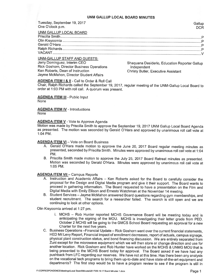Tuesday, September 19, 2017 One O'clock p.m.

| UNM GALLUP LOCAL BOARD |  |
|------------------------|--|
|                        |  |
|                        |  |
|                        |  |
|                        |  |
|                        |  |
|                        |  |

#### UNM-GALLUP STAFF AND GUESTS:

Jerry Dominguez, Interim CEO Rick Goshorn, Director Business Operations Ken Roberts, Dean of Instruction Jayme McMahon, Director Student Affairs

Shaquana Desiderio, Education Reporter Gallup Independent **Christy Butler, Executive Assistant** 

#### **AGENDA ITEM I & II - Call to Order & Roll Call**

Chair, Ralph Richards called the September 19, 2017, regular meeting of the UNM-Gallup Local Board to order at 1:03 PM with roll call. A quorum was present.

**AGENDA ITEM III** - Public Input **None** 

**AGENDA ITEM IV - Introductions None** 

#### **AGENDA ITEM V** - Vote to Approve Agenda

Motion was made by Priscilla Smith to approve the September 19, 2017 UNM Gallup Local Board Agenda as presented. The motion was seconded by Gerald O'Hara and approved by unanimous roll call vote at 1:04 PM.

#### **AGENDA ITEM VI - Vote on Board Business**

- A. Gerald O'Hara made motion to approve the June 20, 2017 Board regular meeting minutes as presented, seconded by Priscilla Smith. Minutes were approved by unanimous roll call vote at 1:04 PM.
- B. Priscilla Smith made motion to approve the July 25, 2017 Board Retreat minutes as presented. Motion was seconded by Gerald O'Hara. Minutes were approved by unanimous roll call vote at 1:05 PM.

#### **AGENDA ITEM VII - Campus Reports**

- A. Instruction and Academic Affairs Ken Roberts asked for the Board to carefully consider the proposal for the Design and Digital Media program and give it their support. The Board wants to proceed in gathering information. The Board requested to have a presentation on the Film and Digital Media with Emily Ellison and Ernesto Watchman at the November 14 meeting.
- B. Student Services Jayme McMahon answered Board questions regarding gym memberships, and student recruitment. The search for a researcher failed. The search is still open and we are continuing to look at other options.

Olin Kieyoomia arrived at 1:27 pm.

- i. MCHS -- Rob Hunter reported MCHS Governance Board will be meeting today and is anticipating the signing of the MOU. MCHS is investigating their letter grade from PED. October 2 MCHS will be going to the GMCS School Board requesting an approval for a new Charter for the next five years.
- C. Business Operations Financial Update Rick Goshorn went over the current financial statements, HED Mil Levy Report, Financial impact of enrollment decreases, report of actuals, campus signage, physical plant construction status, and bond financing discussion. We are entirely separated from Zuni except for the microwave equipment which we will then store or change direction and use for another location. Rick Goshorn and Rob Hunter have worked on the MCHS & UNMG MOU that is being presented to the MCHS Board today for approval. The Board asked if we have had any pushback from LFC regarding our reserves. We have not at this time. Has there been any analysis on the vocational tech programs to bring them up-to-date and have state-of-the-art equipment and departments? The first step would be to have a program review to see if the program is still in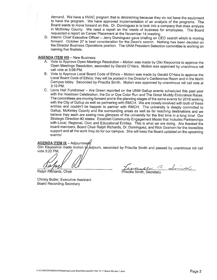demand. We have a HVAC program that is diminishing because they do not have the equipment to have the program. We have approved implementation of an analysis of the programs. The Board wants to move forward on this. Dr. Dominguez is to look into a company that does analysis in McKinley County. We need a report on the needs of business for employees. The Board requested a report on Career Placement at the November 14 meeting.

D. Interim Chief Executive Officer - Jerry Dominguez gave briefing on CEO search which is moving forward. October 27 is best consideration for the Dean's search. Nothing has been decided on the Director Business Operations position. The UNM President Selection committee is working on naming five finalists.

#### **AGENDA ITEM VIII - New Business**

- A. Vote to Approve Open Meetings Resolution Motion was made by Olin Kieyoomia to approve the Open Meetings Resolution, seconded by Gerald O'Hara. Motion was approved by unanimous roll call vote at 3:09 PM.
- B. Vote to Approve Local Board Code of Ethics Motion was made by Gerald O'Hara to approve the Local Board Code of Ethics; they will be posted in the Director's Conference Room and in the North Campus lobby. Seconded by Priscilla Smith. Motion was approved by unanimous roll call vote at 3:10 PM.
- C. Lions Hall Fundraiser Ara Green reported on the UNM Gallup events scheduled this past year with the Hoedown Celebration, the Do or Dye Color Run and The Great Muddy Endurance Races. The committees are moving forward and in the planning stages of the same events for 2018 working with the City of Gallup as well as partnering with RMCH. We are closely involved with both of these entities and couldn't be happier to partner with RMCH. The university is deeply committed to Gallup, McKinley County and the surrounding areas as well as far reaching destinations and we believe they each are seeing new glimpses of the university for the first time in a long time! Our Strategic Direction #2 states: Establish Community Engagement Model that Includes Partnerships with Local, Regional, Civic and Educational Entities. This is what we are doing. Ara thanked the board members, Board Chair Ralph Richards, Dr. Dominguez, and Rick Goshorn for the incredible support and all the work they do for our campus. She will keep the Board updated on the upcoming events!

**AGENDA ITEM IX** - Adjournmerft

Olin Kieyoomia made motion to adjourn, seconded by Priscilla Smith and passed by unanimous roll call vote 3:22 PM.

Ralph Richards, Chair

Francesco a Simila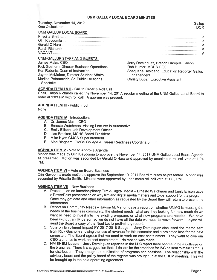| Tuesday, November 14, 2017<br>One O'clock p.m.                                                                           | Gallup<br><b>DCR</b>                                                                                       |
|--------------------------------------------------------------------------------------------------------------------------|------------------------------------------------------------------------------------------------------------|
| UNM GALLUP LOCAL BOARD                                                                                                   |                                                                                                            |
|                                                                                                                          |                                                                                                            |
| UNM-GALLUP STAFF AND GUESTS:<br>James Malm, CEO<br><b>Rick Goshorn, Director Business Operations</b>                     | Jerry Dominguez, Branch Campus Liaison<br>Rob Hunter, MCHS CEO                                             |
| Ken Roberts, Dean of Instruction<br>Jayme McMahon, Director Student Affairs<br>Marilee Petranovich, Sr. Public Relations | Shaquana Desiderio, Education Reporter Gallup<br>Independent<br><b>Christy Butler, Executive Assistant</b> |

**Specialist** 

#### **AGENDA ITEM I & II - Call to Order & Roll Call**

Chair, Ralph Richards called the November 14, 2017, regular meeting of the UNM-Gallup Local Board to order at 1:03 PM with roll call. A quorum was present.

#### **AGENDA ITEM III - Public Input**

**None** 

#### **AGENDA ITEM IV - Introductions**

- A. Dr. James Malm, CEO
- B. Ernesto Watchman, Visiting Lecturer in Automotive
- C. Emily Ellison, Job Development Officer
- D. Lisa Bracken, MCHS Board President
- E. Mike Hyatt GMCS Superintendent
- F. Alan Bingham, GMCS College & Career Readiness Coordinator

#### **AGENDA ITEM V - Vote to Approve Agenda**

Motion was made by Olin Kieyoomia to approve the November 14, 2017 UNM Gallup Local Board Agenda as presented. Motion was seconded by Gerald O'Hara and approved by unanimous roll call vote at 1:04 PM.

#### **AGENDA ITEM VI - Vote on Board Business**

Olin Kieyoomia made motion to approve the September 19, 2017 Board minutes as presented. Motion was seconded by Priscilla Smith. Minutes were approved by unanimous roll call vote at 1:05 PM.

#### **AGENDA ITEM VII -- New Business**

- A. Presentation on Interdisciplinary Film & Digital Media Ernesto Watchman and Emily Ellison gave a PowerPoint presentation on why film and digital media matters and to get support for the program. Once they get data and other information as requested by the Board they will return to present the information.
- B. Report on Community Needs Jayme McMahon gave a report on whether UNMG is meeting the needs of the business community, the student needs, what are they looking for, how much do we want or need to invest into the existing programs or what new programs are needed. We have been without an IR person so we do not have all the data we need to move forward. Jayme will send the Board a copy of the Noel Levitz preliminary report.
- C. Vote on Enrollment Impact FY 2017-2018 Budget Jerry Dominguez discussed the memo sent from Rick Goshorn showing the loss of revenue for this semester and a projected loss for the next semester. The Board agrees that we need to work on cost containment. They want to give our CEO a chance to work on cost containment. No motion was made.
- D. NM SHEM Update Jerry Dominguez reported in the LFC report there seems to be a bullseye on the branches. There is a suggestion that all dollars for the branches for I&G be sent to main campus for distribution. They brought up duplication of programs and positions. The relationship with the advisory board and the policy board of the regents was brought up at the SHEM meeting. This will be brought up in the next operating agreement.